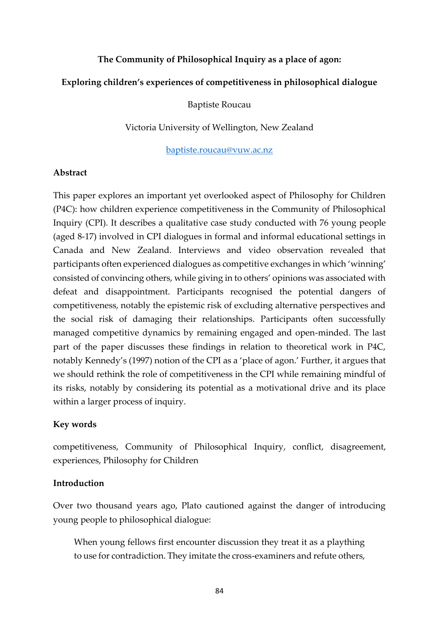### **The Community of Philosophical Inquiry as a place of agon:**

### **Exploring children's experiences of competitiveness in philosophical dialogue**

### Baptiste Roucau

### Victoria University of Wellington, New Zealand

#### [baptiste.roucau@vuw.ac.nz](mailto:baptiste.roucau@vuw.ac.nz)

### **Abstract**

This paper explores an important yet overlooked aspect of Philosophy for Children (P4C): how children experience competitiveness in the Community of Philosophical Inquiry (CPI). It describes a qualitative case study conducted with 76 young people (aged 8-17) involved in CPI dialogues in formal and informal educational settings in Canada and New Zealand. Interviews and video observation revealed that participants often experienced dialogues as competitive exchanges in which 'winning' consisted of convincing others, while giving in to others' opinions was associated with defeat and disappointment. Participants recognised the potential dangers of competitiveness, notably the epistemic risk of excluding alternative perspectives and the social risk of damaging their relationships. Participants often successfully managed competitive dynamics by remaining engaged and open-minded. The last part of the paper discusses these findings in relation to theoretical work in P4C, notably Kennedy's (1997) notion of the CPI as a 'place of agon.' Further, it argues that we should rethink the role of competitiveness in the CPI while remaining mindful of its risks, notably by considering its potential as a motivational drive and its place within a larger process of inquiry.

### **Key words**

competitiveness, Community of Philosophical Inquiry, conflict, disagreement, experiences, Philosophy for Children

### **Introduction**

Over two thousand years ago, Plato cautioned against the danger of introducing young people to philosophical dialogue:

When young fellows first encounter discussion they treat it as a plaything to use for contradiction. They imitate the cross-examiners and refute others,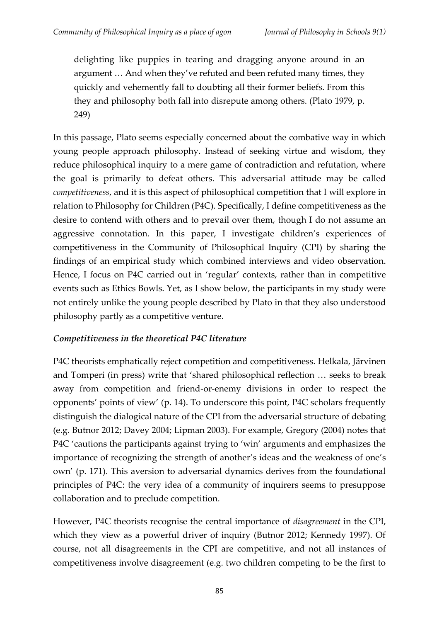delighting like puppies in tearing and dragging anyone around in an argument … And when they've refuted and been refuted many times, they quickly and vehemently fall to doubting all their former beliefs. From this they and philosophy both fall into disrepute among others. (Plato 1979, p. 249)

In this passage, Plato seems especially concerned about the combative way in which young people approach philosophy. Instead of seeking virtue and wisdom, they reduce philosophical inquiry to a mere game of contradiction and refutation, where the goal is primarily to defeat others. This adversarial attitude may be called *competitiveness*, and it is this aspect of philosophical competition that I will explore in relation to Philosophy for Children (P4C). Specifically, I define competitiveness as the desire to contend with others and to prevail over them, though I do not assume an aggressive connotation. In this paper, I investigate children's experiences of competitiveness in the Community of Philosophical Inquiry (CPI) by sharing the findings of an empirical study which combined interviews and video observation. Hence, I focus on P4C carried out in 'regular' contexts, rather than in competitive events such as Ethics Bowls. Yet, as I show below, the participants in my study were not entirely unlike the young people described by Plato in that they also understood philosophy partly as a competitive venture.

# *Competitiveness in the theoretical P4C literature*

P4C theorists emphatically reject competition and competitiveness. Helkala, Järvinen and Tomperi (in press) write that 'shared philosophical reflection … seeks to break away from competition and friend-or-enemy divisions in order to respect the opponents' points of view' (p. 14). To underscore this point, P4C scholars frequently distinguish the dialogical nature of the CPI from the adversarial structure of debating (e.g. Butnor 2012; Davey 2004; Lipman 2003). For example, Gregory (2004) notes that P4C 'cautions the participants against trying to 'win' arguments and emphasizes the importance of recognizing the strength of another's ideas and the weakness of one's own' (p. 171). This aversion to adversarial dynamics derives from the foundational principles of P4C: the very idea of a community of inquirers seems to presuppose collaboration and to preclude competition.

However, P4C theorists recognise the central importance of *disagreement* in the CPI, which they view as a powerful driver of inquiry (Butnor 2012; Kennedy 1997). Of course, not all disagreements in the CPI are competitive, and not all instances of competitiveness involve disagreement (e.g. two children competing to be the first to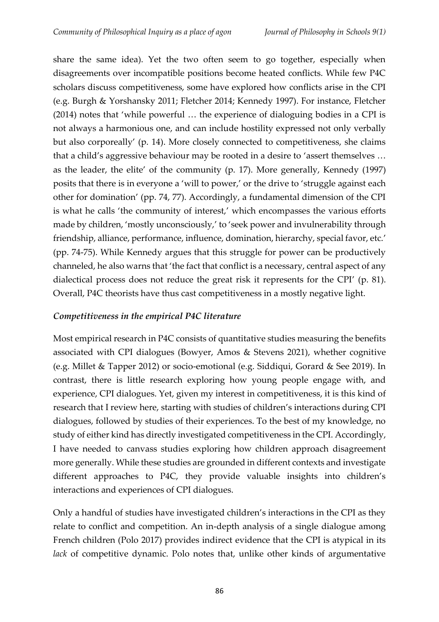share the same idea). Yet the two often seem to go together, especially when disagreements over incompatible positions become heated conflicts. While few P4C scholars discuss competitiveness, some have explored how conflicts arise in the CPI (e.g. Burgh & Yorshansky 2011; Fletcher 2014; Kennedy 1997). For instance, Fletcher (2014) notes that 'while powerful … the experience of dialoguing bodies in a CPI is not always a harmonious one, and can include hostility expressed not only verbally but also corporeally' (p. 14). More closely connected to competitiveness, she claims that a child's aggressive behaviour may be rooted in a desire to 'assert themselves … as the leader, the elite' of the community (p. 17). More generally, Kennedy (1997) posits that there is in everyone a 'will to power,' or the drive to 'struggle against each other for domination' (pp. 74, 77). Accordingly, a fundamental dimension of the CPI is what he calls 'the community of interest,' which encompasses the various efforts made by children, 'mostly unconsciously,' to 'seek power and invulnerability through friendship, alliance, performance, influence, domination, hierarchy, special favor, etc.' (pp. 74-75). While Kennedy argues that this struggle for power can be productively channeled, he also warns that 'the fact that conflict is a necessary, central aspect of any dialectical process does not reduce the great risk it represents for the CPI' (p. 81). Overall, P4C theorists have thus cast competitiveness in a mostly negative light.

## *Competitiveness in the empirical P4C literature*

Most empirical research in P4C consists of quantitative studies measuring the benefits associated with CPI dialogues (Bowyer, Amos & Stevens 2021), whether cognitive (e.g. Millet & Tapper 2012) or socio-emotional (e.g. Siddiqui, Gorard & See 2019). In contrast, there is little research exploring how young people engage with, and experience, CPI dialogues. Yet, given my interest in competitiveness, it is this kind of research that I review here, starting with studies of children's interactions during CPI dialogues, followed by studies of their experiences. To the best of my knowledge, no study of either kind has directly investigated competitiveness in the CPI. Accordingly, I have needed to canvass studies exploring how children approach disagreement more generally. While these studies are grounded in different contexts and investigate different approaches to P4C, they provide valuable insights into children's interactions and experiences of CPI dialogues.

Only a handful of studies have investigated children's interactions in the CPI as they relate to conflict and competition. An in-depth analysis of a single dialogue among French children (Polo 2017) provides indirect evidence that the CPI is atypical in its *lack* of competitive dynamic. Polo notes that, unlike other kinds of argumentative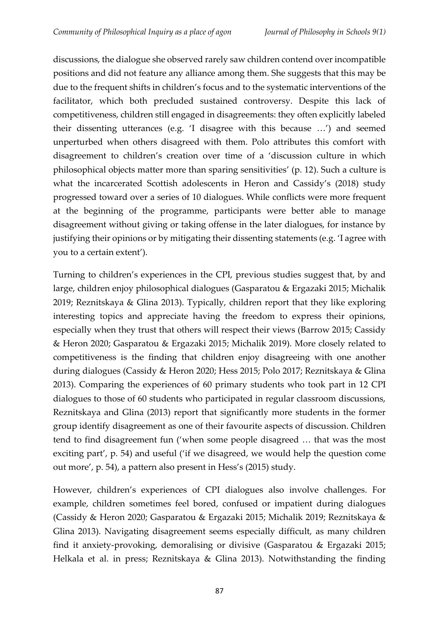discussions, the dialogue she observed rarely saw children contend over incompatible positions and did not feature any alliance among them. She suggests that this may be due to the frequent shifts in children's focus and to the systematic interventions of the facilitator, which both precluded sustained controversy. Despite this lack of competitiveness, children still engaged in disagreements: they often explicitly labeled their dissenting utterances (e.g. 'I disagree with this because …') and seemed unperturbed when others disagreed with them. Polo attributes this comfort with disagreement to children's creation over time of a 'discussion culture in which philosophical objects matter more than sparing sensitivities' (p. 12). Such a culture is what the incarcerated Scottish adolescents in Heron and Cassidy's (2018) study progressed toward over a series of 10 dialogues. While conflicts were more frequent at the beginning of the programme, participants were better able to manage disagreement without giving or taking offense in the later dialogues, for instance by justifying their opinions or by mitigating their dissenting statements (e.g. 'I agree with you to a certain extent').

Turning to children's experiences in the CPI, previous studies suggest that, by and large, children enjoy philosophical dialogues (Gasparatou & Ergazaki 2015; Michalik 2019; Reznitskaya & Glina 2013). Typically, children report that they like exploring interesting topics and appreciate having the freedom to express their opinions, especially when they trust that others will respect their views (Barrow 2015; Cassidy & Heron 2020; Gasparatou & Ergazaki 2015; Michalik 2019). More closely related to competitiveness is the finding that children enjoy disagreeing with one another during dialogues (Cassidy & Heron 2020; Hess 2015; Polo 2017; Reznitskaya & Glina 2013). Comparing the experiences of 60 primary students who took part in 12 CPI dialogues to those of 60 students who participated in regular classroom discussions, Reznitskaya and Glina (2013) report that significantly more students in the former group identify disagreement as one of their favourite aspects of discussion. Children tend to find disagreement fun ('when some people disagreed … that was the most exciting part', p. 54) and useful ('if we disagreed, we would help the question come out more', p. 54), a pattern also present in Hess's (2015) study.

However, children's experiences of CPI dialogues also involve challenges. For example, children sometimes feel bored, confused or impatient during dialogues (Cassidy & Heron 2020; Gasparatou & Ergazaki 2015; Michalik 2019; Reznitskaya & Glina 2013). Navigating disagreement seems especially difficult, as many children find it anxiety-provoking, demoralising or divisive (Gasparatou & Ergazaki 2015; Helkala et al. in press; Reznitskaya & Glina 2013). Notwithstanding the finding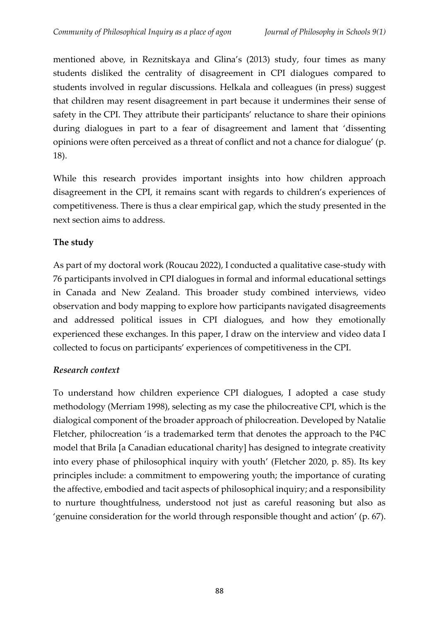mentioned above, in Reznitskaya and Glina's (2013) study, four times as many students disliked the centrality of disagreement in CPI dialogues compared to students involved in regular discussions. Helkala and colleagues (in press) suggest that children may resent disagreement in part because it undermines their sense of safety in the CPI. They attribute their participants' reluctance to share their opinions during dialogues in part to a fear of disagreement and lament that 'dissenting opinions were often perceived as a threat of conflict and not a chance for dialogue' (p. 18).

While this research provides important insights into how children approach disagreement in the CPI, it remains scant with regards to children's experiences of competitiveness. There is thus a clear empirical gap, which the study presented in the next section aims to address.

# **The study**

As part of my doctoral work (Roucau 2022), I conducted a qualitative case-study with 76 participants involved in CPI dialogues in formal and informal educational settings in Canada and New Zealand. This broader study combined interviews, video observation and body mapping to explore how participants navigated disagreements and addressed political issues in CPI dialogues, and how they emotionally experienced these exchanges. In this paper, I draw on the interview and video data I collected to focus on participants' experiences of competitiveness in the CPI.

# *Research context*

To understand how children experience CPI dialogues, I adopted a case study methodology (Merriam 1998), selecting as my case the philocreative CPI, which is the dialogical component of the broader approach of philocreation. Developed by Natalie Fletcher, philocreation 'is a trademarked term that denotes the approach to the P4C model that Brila [a Canadian educational charity] has designed to integrate creativity into every phase of philosophical inquiry with youth' (Fletcher 2020, p. 85). Its key principles include: a commitment to empowering youth; the importance of curating the affective, embodied and tacit aspects of philosophical inquiry; and a responsibility to nurture thoughtfulness, understood not just as careful reasoning but also as 'genuine consideration for the world through responsible thought and action' (p. 67).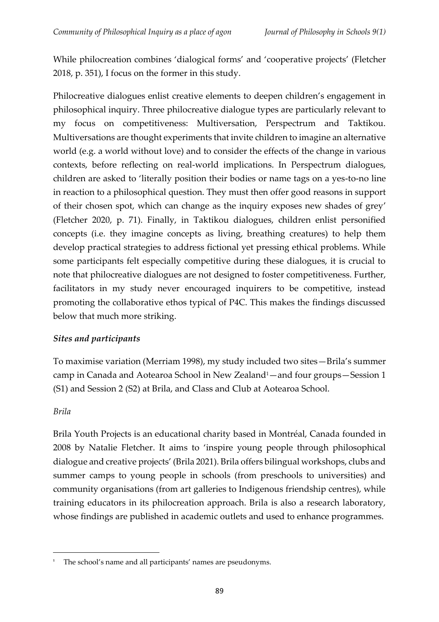While philocreation combines 'dialogical forms' and 'cooperative projects' (Fletcher 2018, p. 351), I focus on the former in this study.

Philocreative dialogues enlist creative elements to deepen children's engagement in philosophical inquiry. Three philocreative dialogue types are particularly relevant to my focus on competitiveness: Multiversation, Perspectrum and Taktikou. Multiversations are thought experiments that invite children to imagine an alternative world (e.g. a world without love) and to consider the effects of the change in various contexts, before reflecting on real-world implications. In Perspectrum dialogues, children are asked to 'literally position their bodies or name tags on a yes-to-no line in reaction to a philosophical question. They must then offer good reasons in support of their chosen spot, which can change as the inquiry exposes new shades of grey' (Fletcher 2020, p. 71). Finally, in Taktikou dialogues, children enlist personified concepts (i.e. they imagine concepts as living, breathing creatures) to help them develop practical strategies to address fictional yet pressing ethical problems. While some participants felt especially competitive during these dialogues, it is crucial to note that philocreative dialogues are not designed to foster competitiveness. Further, facilitators in my study never encouraged inquirers to be competitive, instead promoting the collaborative ethos typical of P4C. This makes the findings discussed below that much more striking.

## *Sites and participants*

To maximise variation (Merriam 1998), my study included two sites—Brila's summer camp in Canada and Aotearoa School in New Zealand<sup>1</sup>—and four groups—Session 1 (S1) and Session 2 (S2) at Brila, and Class and Club at Aotearoa School.

## *Brila*

Brila Youth Projects is an educational charity based in Montréal, Canada founded in 2008 by Natalie Fletcher. It aims to 'inspire young people through philosophical dialogue and creative projects' (Brila 2021). Brila offers bilingual workshops, clubs and summer camps to young people in schools (from preschools to universities) and community organisations (from art galleries to Indigenous friendship centres), while training educators in its philocreation approach. Brila is also a research laboratory, whose findings are published in academic outlets and used to enhance programmes.

The school's name and all participants' names are pseudonyms.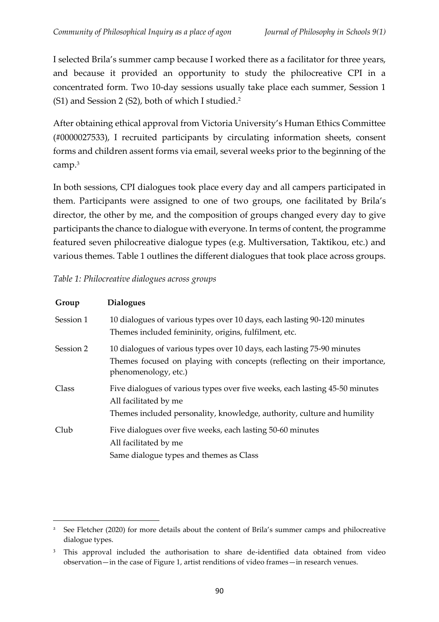I selected Brila's summer camp because I worked there as a facilitator for three years, and because it provided an opportunity to study the philocreative CPI in a concentrated form. Two 10-day sessions usually take place each summer, Session 1 (S1) and Session 2 (S2), both of which I studied.<sup>2</sup>

After obtaining ethical approval from Victoria University's Human Ethics Committee (#0000027533), I recruited participants by circulating information sheets, consent forms and children assent forms via email, several weeks prior to the beginning of the camp.<sup>3</sup>

In both sessions, CPI dialogues took place every day and all campers participated in them. Participants were assigned to one of two groups, one facilitated by Brila's director, the other by me, and the composition of groups changed every day to give participants the chance to dialogue with everyone. In terms of content, the programme featured seven philocreative dialogue types (e.g. Multiversation, Taktikou, etc.) and various themes. Table 1 outlines the different dialogues that took place across groups.

### *Table 1: Philocreative dialogues across groups*

| Group     | <b>Dialogues</b>                                                                                                                                                                |
|-----------|---------------------------------------------------------------------------------------------------------------------------------------------------------------------------------|
| Session 1 | 10 dialogues of various types over 10 days, each lasting 90-120 minutes<br>Themes included femininity, origins, fulfilment, etc.                                                |
| Session 2 | 10 dialogues of various types over 10 days, each lasting 75-90 minutes<br>Themes focused on playing with concepts (reflecting on their importance,<br>phenomenology, etc.)      |
| Class     | Five dialogues of various types over five weeks, each lasting 45-50 minutes<br>All facilitated by me<br>Themes included personality, knowledge, authority, culture and humility |
| Club      | Five dialogues over five weeks, each lasting 50-60 minutes<br>All facilitated by me<br>Same dialogue types and themes as Class                                                  |

<sup>&</sup>lt;sup>2</sup> See Fletcher (2020) for more details about the content of Brila's summer camps and philocreative dialogue types.

<sup>&</sup>lt;sup>3</sup> This approval included the authorisation to share de-identified data obtained from video observation—in the case of Figure 1, artist renditions of video frames—in research venues.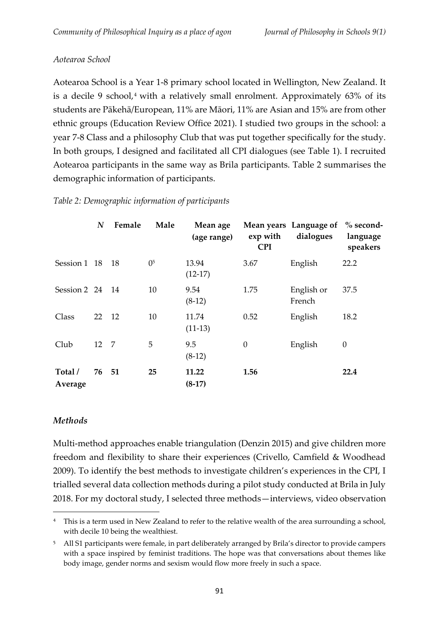### *Aotearoa School*

Aotearoa School is a Year 1-8 primary school located in Wellington, New Zealand. It is a decile 9 school, $4$  with a relatively small enrolment. Approximately  $63\%$  of its students are Pākehā/European, 11% are Māori, 11% are Asian and 15% are from other ethnic groups (Education Review Office 2021). I studied two groups in the school: a year 7-8 Class and a philosophy Club that was put together specifically for the study. In both groups, I designed and facilitated all CPI dialogues (see Table 1). I recruited Aotearoa participants in the same way as Brila participants. Table 2 summarises the demographic information of participants.

|                               | $\boldsymbol{N}$ | Female | Male           | Mean age<br>(age range) | exp with<br><b>CPI</b> | Mean years Language of % second-<br>dialogues | language<br>speakers |
|-------------------------------|------------------|--------|----------------|-------------------------|------------------------|-----------------------------------------------|----------------------|
| Session 1 18 18               |                  |        | 0 <sup>5</sup> | 13.94<br>$(12-17)$      | 3.67                   | English                                       | 22.2                 |
| Session $2 \quad 24 \quad 14$ |                  |        | 10             | 9.54<br>$(8-12)$        | 1.75                   | English or<br>French                          | 37.5                 |
| Class                         | 22 12            |        | 10             | 11.74<br>$(11-13)$      | 0.52                   | English                                       | 18.2                 |
| Club                          | 12 7             |        | 5              | 9.5<br>$(8-12)$         | $\boldsymbol{0}$       | English                                       | $\boldsymbol{0}$     |
| Total /<br>Average            | 76               | 51     | 25             | 11.22<br>$(8-17)$       | 1.56                   |                                               | 22.4                 |

### *Table 2: Demographic information of participants*

### *Methods*

Multi-method approaches enable triangulation (Denzin 2015) and give children more freedom and flexibility to share their experiences (Crivello, Camfield & Woodhead 2009). To identify the best methods to investigate children's experiences in the CPI, I trialled several data collection methods during a pilot study conducted at Brila in July 2018. For my doctoral study, I selected three methods—interviews, video observation

<sup>4</sup> This is a term used in New Zealand to refer to the relative wealth of the area surrounding a school, with decile 10 being the wealthiest.

<sup>5</sup> All S1 participants were female, in part deliberately arranged by Brila's director to provide campers with a space inspired by feminist traditions. The hope was that conversations about themes like body image, gender norms and sexism would flow more freely in such a space.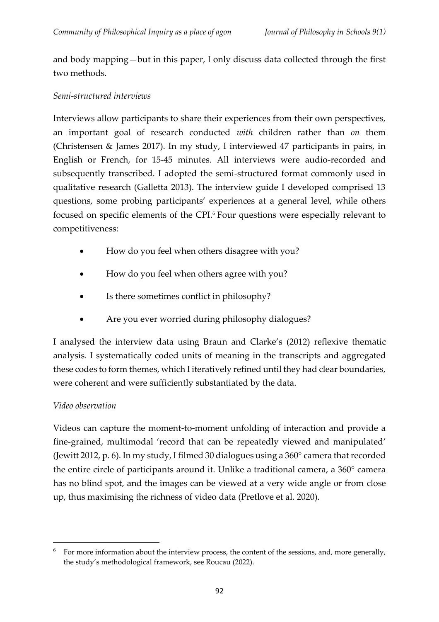and body mapping—but in this paper, I only discuss data collected through the first two methods.

### *Semi-structured interviews*

Interviews allow participants to share their experiences from their own perspectives, an important goal of research conducted *with* children rather than *on* them (Christensen & James 2017). In my study, I interviewed 47 participants in pairs, in English or French, for 15-45 minutes. All interviews were audio-recorded and subsequently transcribed. I adopted the semi-structured format commonly used in qualitative research (Galletta 2013). The interview guide I developed comprised 13 questions, some probing participants' experiences at a general level, while others focused on specific elements of the CPI.<sup>6</sup> Four questions were especially relevant to competitiveness:

- How do you feel when others disagree with you?
- How do you feel when others agree with you?
- Is there sometimes conflict in philosophy?
- Are you ever worried during philosophy dialogues?

I analysed the interview data using Braun and Clarke's (2012) reflexive thematic analysis. I systematically coded units of meaning in the transcripts and aggregated these codes to form themes, which I iteratively refined until they had clear boundaries, were coherent and were sufficiently substantiated by the data.

## *Video observation*

Videos can capture the moment-to-moment unfolding of interaction and provide a fine-grained, multimodal 'record that can be repeatedly viewed and manipulated' (Jewitt 2012, p. 6). In my study, I filmed 30 dialogues using a 360° camera that recorded the entire circle of participants around it. Unlike a traditional camera, a 360° camera has no blind spot, and the images can be viewed at a very wide angle or from close up, thus maximising the richness of video data (Pretlove et al. 2020).

For more information about the interview process, the content of the sessions, and, more generally, the study's methodological framework, see Roucau (2022).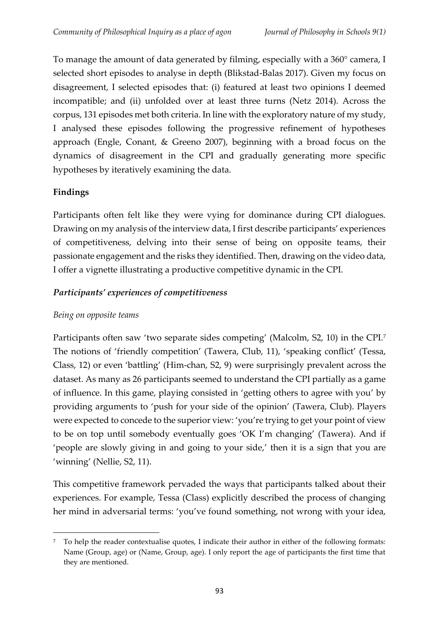To manage the amount of data generated by filming, especially with a 360° camera, I selected short episodes to analyse in depth (Blikstad-Balas 2017). Given my focus on disagreement, I selected episodes that: (i) featured at least two opinions I deemed incompatible; and (ii) unfolded over at least three turns (Netz 2014). Across the corpus, 131 episodes met both criteria. In line with the exploratory nature of my study, I analysed these episodes following the progressive refinement of hypotheses approach (Engle, Conant, & Greeno 2007), beginning with a broad focus on the dynamics of disagreement in the CPI and gradually generating more specific hypotheses by iteratively examining the data.

# **Findings**

Participants often felt like they were vying for dominance during CPI dialogues. Drawing on my analysis of the interview data, I first describe participants' experiences of competitiveness, delving into their sense of being on opposite teams, their passionate engagement and the risks they identified. Then, drawing on the video data, I offer a vignette illustrating a productive competitive dynamic in the CPI.

# *Participants' experiences of competitiveness*

## *Being on opposite teams*

Participants often saw 'two separate sides competing' (Malcolm, S2, 10) in the CPI.<sup>7</sup> The notions of 'friendly competition' (Tawera, Club, 11), 'speaking conflict' (Tessa, Class, 12) or even 'battling' (Him-chan, S2, 9) were surprisingly prevalent across the dataset. As many as 26 participants seemed to understand the CPI partially as a game of influence. In this game, playing consisted in 'getting others to agree with you' by providing arguments to 'push for your side of the opinion' (Tawera, Club). Players were expected to concede to the superior view: 'you're trying to get your point of view to be on top until somebody eventually goes 'OK I'm changing' (Tawera). And if 'people are slowly giving in and going to your side,' then it is a sign that you are 'winning' (Nellie, S2, 11).

This competitive framework pervaded the ways that participants talked about their experiences. For example, Tessa (Class) explicitly described the process of changing her mind in adversarial terms: 'you've found something, not wrong with your idea,

<sup>7</sup> To help the reader contextualise quotes, I indicate their author in either of the following formats: Name (Group, age) or (Name, Group, age). I only report the age of participants the first time that they are mentioned.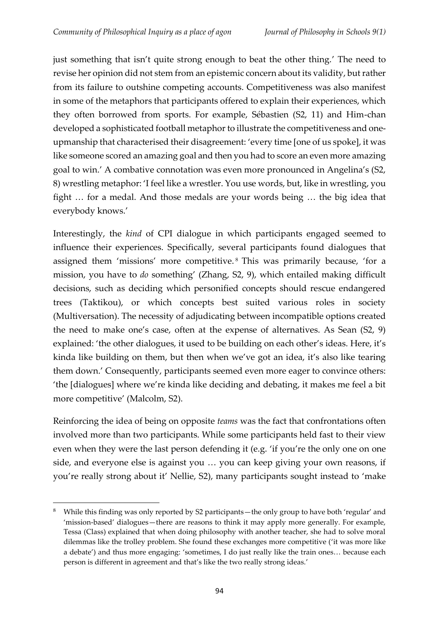just something that isn't quite strong enough to beat the other thing.' The need to revise her opinion did not stem from an epistemic concern about its validity, but rather from its failure to outshine competing accounts. Competitiveness was also manifest in some of the metaphors that participants offered to explain their experiences, which they often borrowed from sports. For example, Sébastien (S2, 11) and Him-chan developed a sophisticated football metaphor to illustrate the competitiveness and oneupmanship that characterised their disagreement: 'every time [one of us spoke], it was like someone scored an amazing goal and then you had to score an even more amazing goal to win.' A combative connotation was even more pronounced in Angelina's (S2, 8) wrestling metaphor: 'I feel like a wrestler. You use words, but, like in wrestling, you fight … for a medal. And those medals are your words being … the big idea that everybody knows.'

Interestingly, the *kind* of CPI dialogue in which participants engaged seemed to influence their experiences. Specifically, several participants found dialogues that assigned them 'missions' more competitive. <sup>8</sup> This was primarily because, 'for a mission, you have to *do* something' (Zhang, S2, 9), which entailed making difficult decisions, such as deciding which personified concepts should rescue endangered trees (Taktikou), or which concepts best suited various roles in society (Multiversation). The necessity of adjudicating between incompatible options created the need to make one's case, often at the expense of alternatives. As Sean (S2, 9) explained: 'the other dialogues, it used to be building on each other's ideas. Here, it's kinda like building on them, but then when we've got an idea, it's also like tearing them down.' Consequently, participants seemed even more eager to convince others: 'the [dialogues] where we're kinda like deciding and debating, it makes me feel a bit more competitive' (Malcolm, S2).

Reinforcing the idea of being on opposite *teams* was the fact that confrontations often involved more than two participants. While some participants held fast to their view even when they were the last person defending it (e.g. 'if you're the only one on one side, and everyone else is against you … you can keep giving your own reasons, if you're really strong about it' Nellie, S2), many participants sought instead to 'make

<sup>8</sup> While this finding was only reported by S2 participants—the only group to have both 'regular' and 'mission-based' dialogues—there are reasons to think it may apply more generally. For example, Tessa (Class) explained that when doing philosophy with another teacher, she had to solve moral dilemmas like the trolley problem. She found these exchanges more competitive ('it was more like a debate') and thus more engaging: 'sometimes, I do just really like the train ones… because each person is different in agreement and that's like the two really strong ideas.'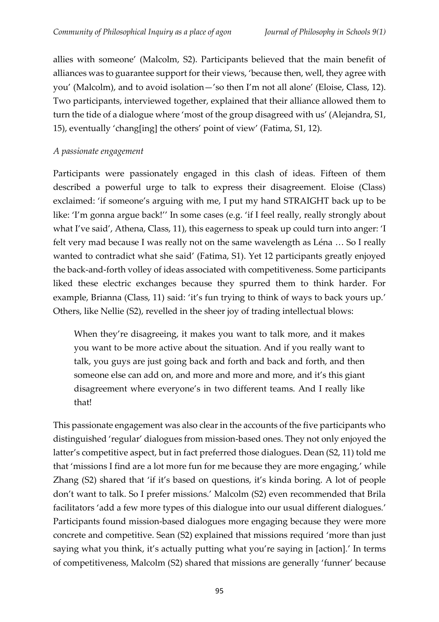allies with someone' (Malcolm, S2). Participants believed that the main benefit of alliances was to guarantee support for their views, 'because then, well, they agree with you' (Malcolm), and to avoid isolation—'so then I'm not all alone' (Eloise, Class, 12). Two participants, interviewed together, explained that their alliance allowed them to turn the tide of a dialogue where 'most of the group disagreed with us' (Alejandra, S1, 15), eventually 'chang[ing] the others' point of view' (Fatima, S1, 12).

### *A passionate engagement*

Participants were passionately engaged in this clash of ideas. Fifteen of them described a powerful urge to talk to express their disagreement. Eloise (Class) exclaimed: 'if someone's arguing with me, I put my hand STRAIGHT back up to be like: 'I'm gonna argue back!'' In some cases (e.g. 'if I feel really, really strongly about what I've said', Athena, Class, 11), this eagerness to speak up could turn into anger: 'I felt very mad because I was really not on the same wavelength as Léna … So I really wanted to contradict what she said' (Fatima, S1). Yet 12 participants greatly enjoyed the back-and-forth volley of ideas associated with competitiveness. Some participants liked these electric exchanges because they spurred them to think harder. For example, Brianna (Class, 11) said: 'it's fun trying to think of ways to back yours up.' Others, like Nellie (S2), revelled in the sheer joy of trading intellectual blows:

When they're disagreeing, it makes you want to talk more, and it makes you want to be more active about the situation. And if you really want to talk, you guys are just going back and forth and back and forth, and then someone else can add on, and more and more and more, and it's this giant disagreement where everyone's in two different teams. And I really like that!

This passionate engagement was also clear in the accounts of the five participants who distinguished 'regular' dialogues from mission-based ones. They not only enjoyed the latter's competitive aspect, but in fact preferred those dialogues. Dean (S2, 11) told me that 'missions I find are a lot more fun for me because they are more engaging,' while Zhang (S2) shared that 'if it's based on questions, it's kinda boring. A lot of people don't want to talk. So I prefer missions.' Malcolm (S2) even recommended that Brila facilitators 'add a few more types of this dialogue into our usual different dialogues.' Participants found mission-based dialogues more engaging because they were more concrete and competitive. Sean (S2) explained that missions required 'more than just saying what you think, it's actually putting what you're saying in [action].' In terms of competitiveness, Malcolm (S2) shared that missions are generally 'funner' because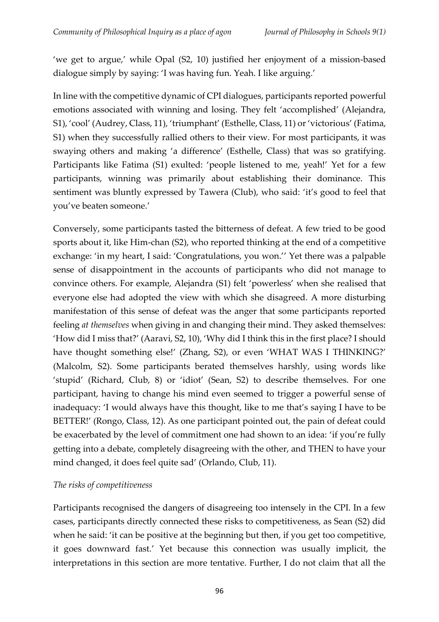'we get to argue,' while Opal (S2, 10) justified her enjoyment of a mission-based dialogue simply by saying: 'I was having fun. Yeah. I like arguing.'

In line with the competitive dynamic of CPI dialogues, participants reported powerful emotions associated with winning and losing. They felt 'accomplished' (Alejandra, S1), 'cool' (Audrey, Class, 11), 'triumphant' (Esthelle, Class, 11) or 'victorious' (Fatima, S1) when they successfully rallied others to their view. For most participants, it was swaying others and making 'a difference' (Esthelle, Class) that was so gratifying. Participants like Fatima (S1) exulted: 'people listened to me, yeah!' Yet for a few participants, winning was primarily about establishing their dominance. This sentiment was bluntly expressed by Tawera (Club), who said: 'it's good to feel that you've beaten someone.'

Conversely, some participants tasted the bitterness of defeat. A few tried to be good sports about it, like Him-chan (S2), who reported thinking at the end of a competitive exchange: 'in my heart, I said: 'Congratulations, you won.'' Yet there was a palpable sense of disappointment in the accounts of participants who did not manage to convince others. For example, Alejandra (S1) felt 'powerless' when she realised that everyone else had adopted the view with which she disagreed. A more disturbing manifestation of this sense of defeat was the anger that some participants reported feeling *at themselves* when giving in and changing their mind. They asked themselves: 'How did I miss that?' (Aaravi, S2, 10), 'Why did I think this in the first place? I should have thought something else!' (Zhang, S2), or even 'WHAT WAS I THINKING?' (Malcolm, S2). Some participants berated themselves harshly, using words like 'stupid' (Richard, Club, 8) or 'idiot' (Sean, S2) to describe themselves. For one participant, having to change his mind even seemed to trigger a powerful sense of inadequacy: 'I would always have this thought, like to me that's saying I have to be BETTER!' (Rongo, Class, 12). As one participant pointed out, the pain of defeat could be exacerbated by the level of commitment one had shown to an idea: 'if you're fully getting into a debate, completely disagreeing with the other, and THEN to have your mind changed, it does feel quite sad' (Orlando, Club, 11).

## *The risks of competitiveness*

Participants recognised the dangers of disagreeing too intensely in the CPI. In a few cases, participants directly connected these risks to competitiveness, as Sean (S2) did when he said: 'it can be positive at the beginning but then, if you get too competitive, it goes downward fast.' Yet because this connection was usually implicit, the interpretations in this section are more tentative. Further, I do not claim that all the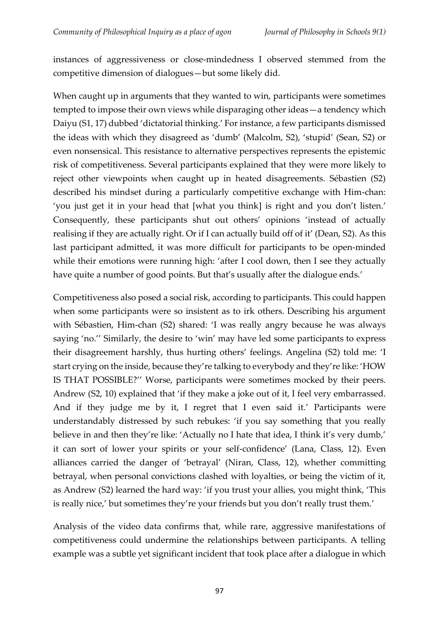instances of aggressiveness or close-mindedness I observed stemmed from the competitive dimension of dialogues—but some likely did.

When caught up in arguments that they wanted to win, participants were sometimes tempted to impose their own views while disparaging other ideas—a tendency which Daiyu (S1, 17) dubbed 'dictatorial thinking.' For instance, a few participants dismissed the ideas with which they disagreed as 'dumb' (Malcolm, S2), 'stupid' (Sean, S2) or even nonsensical. This resistance to alternative perspectives represents the epistemic risk of competitiveness. Several participants explained that they were more likely to reject other viewpoints when caught up in heated disagreements. Sébastien (S2) described his mindset during a particularly competitive exchange with Him-chan: 'you just get it in your head that [what you think] is right and you don't listen.' Consequently, these participants shut out others' opinions 'instead of actually realising if they are actually right. Or if I can actually build off of it' (Dean, S2). As this last participant admitted, it was more difficult for participants to be open-minded while their emotions were running high: 'after I cool down, then I see they actually have quite a number of good points. But that's usually after the dialogue ends.'

Competitiveness also posed a social risk, according to participants. This could happen when some participants were so insistent as to irk others. Describing his argument with Sébastien, Him-chan (S2) shared: 'I was really angry because he was always saying 'no.'' Similarly, the desire to 'win' may have led some participants to express their disagreement harshly, thus hurting others' feelings. Angelina (S2) told me: 'I start crying on the inside, because they're talking to everybody and they're like: 'HOW IS THAT POSSIBLE?'' Worse, participants were sometimes mocked by their peers. Andrew (S2, 10) explained that 'if they make a joke out of it, I feel very embarrassed. And if they judge me by it, I regret that I even said it.' Participants were understandably distressed by such rebukes: 'if you say something that you really believe in and then they're like: 'Actually no I hate that idea, I think it's very dumb,' it can sort of lower your spirits or your self-confidence' (Lana, Class, 12). Even alliances carried the danger of 'betrayal' (Niran, Class, 12), whether committing betrayal, when personal convictions clashed with loyalties, or being the victim of it, as Andrew (S2) learned the hard way: 'if you trust your allies, you might think, 'This is really nice,' but sometimes they're your friends but you don't really trust them.'

Analysis of the video data confirms that, while rare, aggressive manifestations of competitiveness could undermine the relationships between participants. A telling example was a subtle yet significant incident that took place after a dialogue in which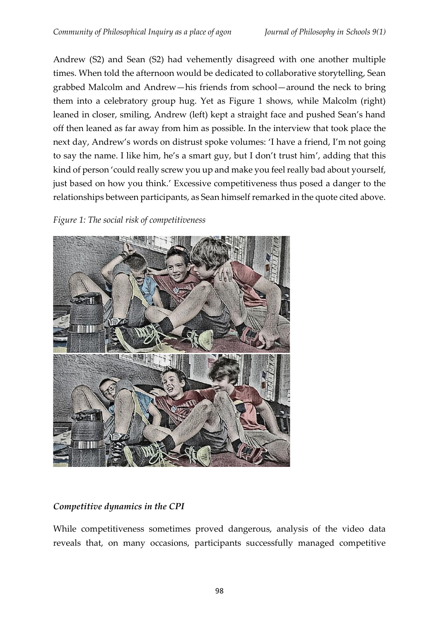Andrew (S2) and Sean (S2) had vehemently disagreed with one another multiple times. When told the afternoon would be dedicated to collaborative storytelling, Sean grabbed Malcolm and Andrew—his friends from school—around the neck to bring them into a celebratory group hug. Yet as Figure 1 shows, while Malcolm (right) leaned in closer, smiling, Andrew (left) kept a straight face and pushed Sean's hand off then leaned as far away from him as possible. In the interview that took place the next day, Andrew's words on distrust spoke volumes: 'I have a friend, I'm not going to say the name. I like him, he's a smart guy, but I don't trust him', adding that this kind of person 'could really screw you up and make you feel really bad about yourself, just based on how you think.' Excessive competitiveness thus posed a danger to the relationships between participants, as Sean himself remarked in the quote cited above.

### *Figure 1: The social risk of competitiveness*



# *Competitive dynamics in the CPI*

While competitiveness sometimes proved dangerous, analysis of the video data reveals that, on many occasions, participants successfully managed competitive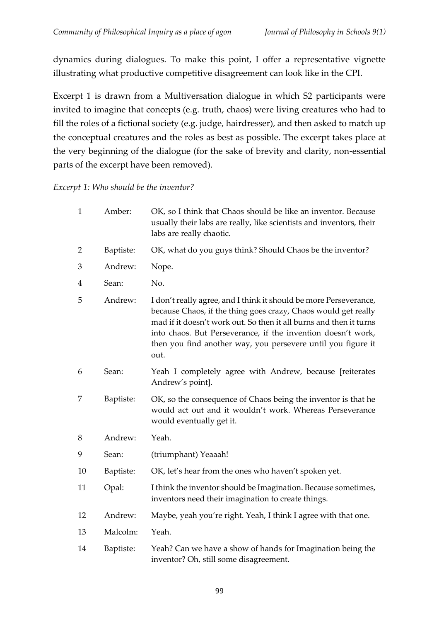dynamics during dialogues. To make this point, I offer a representative vignette illustrating what productive competitive disagreement can look like in the CPI.

Excerpt 1 is drawn from a Multiversation dialogue in which S2 participants were invited to imagine that concepts (e.g. truth, chaos) were living creatures who had to fill the roles of a fictional society (e.g. judge, hairdresser), and then asked to match up the conceptual creatures and the roles as best as possible. The excerpt takes place at the very beginning of the dialogue (for the sake of brevity and clarity, non-essential parts of the excerpt have been removed).

### *Excerpt 1: Who should be the inventor?*

| $\mathbf{1}$ | Amber:    | OK, so I think that Chaos should be like an inventor. Because<br>usually their labs are really, like scientists and inventors, their<br>labs are really chaotic.                                                                                                                                                                                  |
|--------------|-----------|---------------------------------------------------------------------------------------------------------------------------------------------------------------------------------------------------------------------------------------------------------------------------------------------------------------------------------------------------|
| 2            | Baptiste: | OK, what do you guys think? Should Chaos be the inventor?                                                                                                                                                                                                                                                                                         |
| 3            | Andrew:   | Nope.                                                                                                                                                                                                                                                                                                                                             |
| 4            | Sean:     | No.                                                                                                                                                                                                                                                                                                                                               |
| 5            | Andrew:   | I don't really agree, and I think it should be more Perseverance,<br>because Chaos, if the thing goes crazy, Chaos would get really<br>mad if it doesn't work out. So then it all burns and then it turns<br>into chaos. But Perseverance, if the invention doesn't work,<br>then you find another way, you persevere until you figure it<br>out. |
| 6            | Sean:     | Yeah I completely agree with Andrew, because [reiterates<br>Andrew's point].                                                                                                                                                                                                                                                                      |
| 7            | Baptiste: | OK, so the consequence of Chaos being the inventor is that he<br>would act out and it wouldn't work. Whereas Perseverance<br>would eventually get it.                                                                                                                                                                                             |
| 8            | Andrew:   | Yeah.                                                                                                                                                                                                                                                                                                                                             |
| 9            | Sean:     | (triumphant) Yeaaah!                                                                                                                                                                                                                                                                                                                              |
| 10           | Baptiste: | OK, let's hear from the ones who haven't spoken yet.                                                                                                                                                                                                                                                                                              |
| 11           | Opal:     | I think the inventor should be Imagination. Because sometimes,<br>inventors need their imagination to create things.                                                                                                                                                                                                                              |
| 12           | Andrew:   | Maybe, yeah you're right. Yeah, I think I agree with that one.                                                                                                                                                                                                                                                                                    |
| 13           | Malcolm:  | Yeah.                                                                                                                                                                                                                                                                                                                                             |
| 14           | Baptiste: | Yeah? Can we have a show of hands for Imagination being the<br>inventor? Oh, still some disagreement.                                                                                                                                                                                                                                             |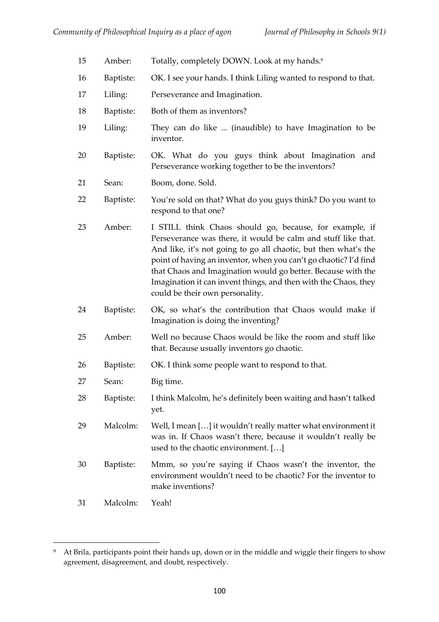| 15 | Amber:    | Totally, completely DOWN. Look at my hands. <sup>9</sup>                                                                                                                                                                                                                                                                                                                                                                              |
|----|-----------|---------------------------------------------------------------------------------------------------------------------------------------------------------------------------------------------------------------------------------------------------------------------------------------------------------------------------------------------------------------------------------------------------------------------------------------|
| 16 | Baptiste: | OK. I see your hands. I think Liling wanted to respond to that.                                                                                                                                                                                                                                                                                                                                                                       |
| 17 | Liling:   | Perseverance and Imagination.                                                                                                                                                                                                                                                                                                                                                                                                         |
| 18 | Baptiste: | Both of them as inventors?                                                                                                                                                                                                                                                                                                                                                                                                            |
| 19 | Liling:   | They can do like  (inaudible) to have Imagination to be<br>inventor.                                                                                                                                                                                                                                                                                                                                                                  |
| 20 | Baptiste: | OK. What do you guys think about Imagination and<br>Perseverance working together to be the inventors?                                                                                                                                                                                                                                                                                                                                |
| 21 | Sean:     | Boom, done. Sold.                                                                                                                                                                                                                                                                                                                                                                                                                     |
| 22 | Baptiste: | You're sold on that? What do you guys think? Do you want to<br>respond to that one?                                                                                                                                                                                                                                                                                                                                                   |
| 23 | Amber:    | I STILL think Chaos should go, because, for example, if<br>Perseverance was there, it would be calm and stuff like that.<br>And like, it's not going to go all chaotic, but then what's the<br>point of having an inventor, when you can't go chaotic? I'd find<br>that Chaos and Imagination would go better. Because with the<br>Imagination it can invent things, and then with the Chaos, they<br>could be their own personality. |
| 24 | Baptiste: | OK, so what's the contribution that Chaos would make if<br>Imagination is doing the inventing?                                                                                                                                                                                                                                                                                                                                        |
| 25 | Amber:    | Well no because Chaos would be like the room and stuff like<br>that. Because usually inventors go chaotic.                                                                                                                                                                                                                                                                                                                            |
| 26 | Baptiste: | OK. I think some people want to respond to that.                                                                                                                                                                                                                                                                                                                                                                                      |
| 27 | Sean:     | Big time.                                                                                                                                                                                                                                                                                                                                                                                                                             |
| 28 | Baptiste: | I think Malcolm, he's definitely been waiting and hasn't talked<br>yet.                                                                                                                                                                                                                                                                                                                                                               |
| 29 | Malcolm:  | Well, I mean [] it wouldn't really matter what environment it<br>was in. If Chaos wasn't there, because it wouldn't really be<br>used to the chaotic environment. []                                                                                                                                                                                                                                                                  |
| 30 | Baptiste: | Mmm, so you're saying if Chaos wasn't the inventor, the<br>environment wouldn't need to be chaotic? For the inventor to<br>make inventions?                                                                                                                                                                                                                                                                                           |
| 31 | Malcolm:  | Yeah!                                                                                                                                                                                                                                                                                                                                                                                                                                 |

<sup>9</sup> At Brila, participants point their hands up, down or in the middle and wiggle their fingers to show agreement, disagreement, and doubt, respectively.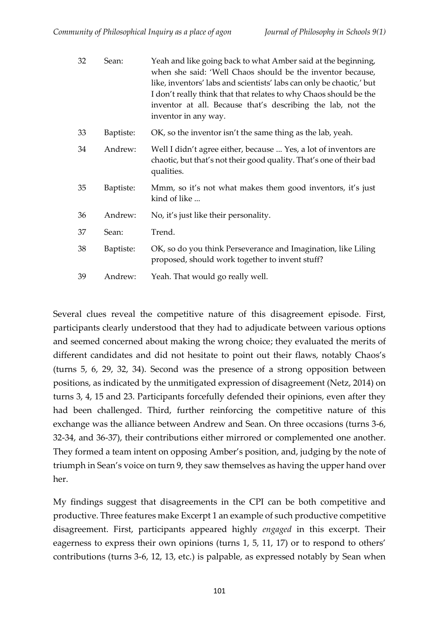| 32 | Sean:     | Yeah and like going back to what Amber said at the beginning,<br>when she said: 'Well Chaos should be the inventor because,<br>like, inventors' labs and scientists' labs can only be chaotic,' but<br>I don't really think that that relates to why Chaos should be the<br>inventor at all. Because that's describing the lab, not the<br>inventor in any way. |
|----|-----------|-----------------------------------------------------------------------------------------------------------------------------------------------------------------------------------------------------------------------------------------------------------------------------------------------------------------------------------------------------------------|
| 33 | Baptiste: | OK, so the inventor isn't the same thing as the lab, yeah.                                                                                                                                                                                                                                                                                                      |
| 34 | Andrew:   | Well I didn't agree either, because  Yes, a lot of inventors are<br>chaotic, but that's not their good quality. That's one of their bad<br>qualities.                                                                                                                                                                                                           |
| 35 | Baptiste: | Mmm, so it's not what makes them good inventors, it's just<br>kind of like                                                                                                                                                                                                                                                                                      |
| 36 | Andrew:   | No, it's just like their personality.                                                                                                                                                                                                                                                                                                                           |
| 37 | Sean:     | Trend.                                                                                                                                                                                                                                                                                                                                                          |
| 38 | Baptiste: | OK, so do you think Perseverance and Imagination, like Liling<br>proposed, should work together to invent stuff?                                                                                                                                                                                                                                                |
| 39 | Andrew:   | Yeah. That would go really well.                                                                                                                                                                                                                                                                                                                                |

Several clues reveal the competitive nature of this disagreement episode. First, participants clearly understood that they had to adjudicate between various options and seemed concerned about making the wrong choice; they evaluated the merits of different candidates and did not hesitate to point out their flaws, notably Chaos's (turns 5, 6, 29, 32, 34). Second was the presence of a strong opposition between positions, as indicated by the unmitigated expression of disagreement (Netz, 2014) on turns 3, 4, 15 and 23. Participants forcefully defended their opinions, even after they had been challenged. Third, further reinforcing the competitive nature of this exchange was the alliance between Andrew and Sean. On three occasions (turns 3-6, 32-34, and 36-37), their contributions either mirrored or complemented one another. They formed a team intent on opposing Amber's position, and, judging by the note of triumph in Sean's voice on turn 9, they saw themselves as having the upper hand over her.

My findings suggest that disagreements in the CPI can be both competitive and productive. Three features make Excerpt 1 an example of such productive competitive disagreement. First, participants appeared highly *engaged* in this excerpt. Their eagerness to express their own opinions (turns 1, 5, 11, 17) or to respond to others' contributions (turns 3-6, 12, 13, etc.) is palpable, as expressed notably by Sean when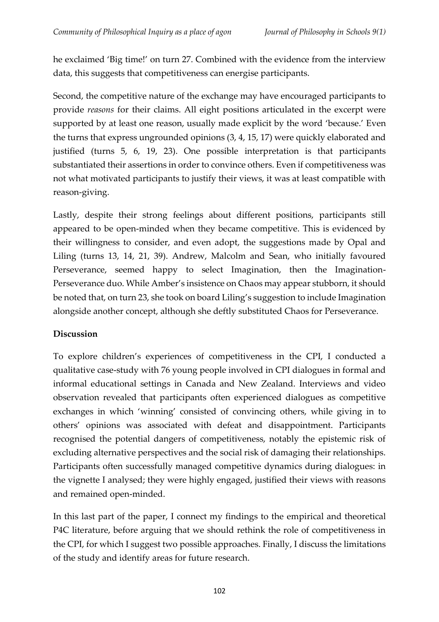he exclaimed 'Big time!' on turn 27. Combined with the evidence from the interview data, this suggests that competitiveness can energise participants.

Second, the competitive nature of the exchange may have encouraged participants to provide *reasons* for their claims. All eight positions articulated in the excerpt were supported by at least one reason, usually made explicit by the word 'because.' Even the turns that express ungrounded opinions (3, 4, 15, 17) were quickly elaborated and justified (turns 5, 6, 19, 23). One possible interpretation is that participants substantiated their assertions in order to convince others. Even if competitiveness was not what motivated participants to justify their views, it was at least compatible with reason-giving.

Lastly, despite their strong feelings about different positions, participants still appeared to be open-minded when they became competitive. This is evidenced by their willingness to consider, and even adopt, the suggestions made by Opal and Liling (turns 13, 14, 21, 39). Andrew, Malcolm and Sean, who initially favoured Perseverance, seemed happy to select Imagination, then the Imagination-Perseverance duo. While Amber's insistence on Chaos may appear stubborn, it should be noted that, on turn 23, she took on board Liling's suggestion to include Imagination alongside another concept, although she deftly substituted Chaos for Perseverance.

## **Discussion**

To explore children's experiences of competitiveness in the CPI, I conducted a qualitative case-study with 76 young people involved in CPI dialogues in formal and informal educational settings in Canada and New Zealand. Interviews and video observation revealed that participants often experienced dialogues as competitive exchanges in which 'winning' consisted of convincing others, while giving in to others' opinions was associated with defeat and disappointment. Participants recognised the potential dangers of competitiveness, notably the epistemic risk of excluding alternative perspectives and the social risk of damaging their relationships. Participants often successfully managed competitive dynamics during dialogues: in the vignette I analysed; they were highly engaged, justified their views with reasons and remained open-minded.

In this last part of the paper, I connect my findings to the empirical and theoretical P4C literature, before arguing that we should rethink the role of competitiveness in the CPI, for which I suggest two possible approaches. Finally, I discuss the limitations of the study and identify areas for future research.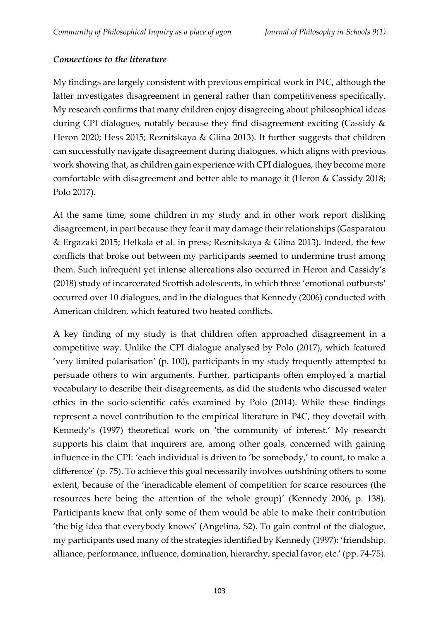### *Connections to the literature*

My findings are largely consistent with previous empirical work in P4C, although the latter investigates disagreement in general rather than competitiveness specifically. My research confirms that many children enjoy disagreeing about philosophical ideas during CPI dialogues, notably because they find disagreement exciting (Cassidy & Heron 2020; Hess 2015; Reznitskaya & Glina 2013). It further suggests that children can successfully navigate disagreement during dialogues, which aligns with previous work showing that, as children gain experience with CPI dialogues, they become more comfortable with disagreement and better able to manage it (Heron & Cassidy 2018; Polo 2017).

At the same time, some children in my study and in other work report disliking disagreement, in part because they fear it may damage their relationships (Gasparatou & Ergazaki 2015; Helkala et al. in press; Reznitskaya & Glina 2013). Indeed, the few conflicts that broke out between my participants seemed to undermine trust among them. Such infrequent yet intense altercations also occurred in Heron and Cassidy's (2018) study of incarcerated Scottish adolescents, in which three 'emotional outbursts' occurred over 10 dialogues, and in the dialogues that Kennedy (2006) conducted with American children, which featured two heated conflicts.

A key finding of my study is that children often approached disagreement in a competitive way. Unlike the CPI dialogue analysed by Polo (2017), which featured 'very limited polarisation' (p. 100), participants in my study frequently attempted to persuade others to win arguments. Further, participants often employed a martial vocabulary to describe their disagreements, as did the students who discussed water ethics in the socio-scientific cafés examined by Polo (2014). While these findings represent a novel contribution to the empirical literature in P4C, they dovetail with Kennedy's (1997) theoretical work on 'the community of interest.' My research supports his claim that inquirers are, among other goals, concerned with gaining influence in the CPI: 'each individual is driven to 'be somebody,' to count, to make a difference' (p. 75). To achieve this goal necessarily involves outshining others to some extent, because of the 'ineradicable element of competition for scarce resources (the resources here being the attention of the whole group)' (Kennedy 2006, p. 138). Participants knew that only some of them would be able to make their contribution 'the big idea that everybody knows' (Angelina, S2). To gain control of the dialogue, my participants used many of the strategies identified by Kennedy (1997): 'friendship, alliance, performance, influence, domination, hierarchy, special favor, etc.' (pp. 74-75).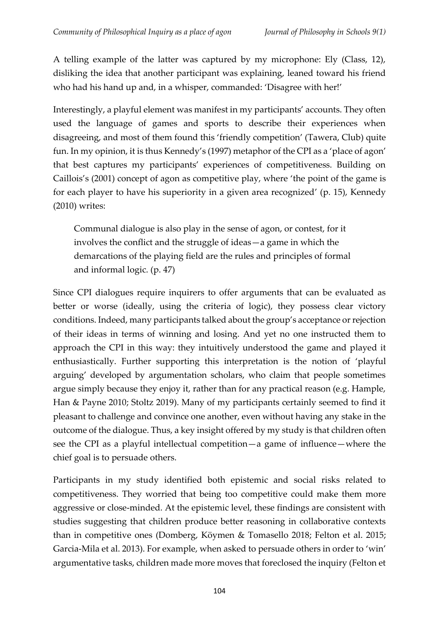A telling example of the latter was captured by my microphone: Ely (Class, 12), disliking the idea that another participant was explaining, leaned toward his friend who had his hand up and, in a whisper, commanded: 'Disagree with her!'

Interestingly, a playful element was manifest in my participants' accounts. They often used the language of games and sports to describe their experiences when disagreeing, and most of them found this 'friendly competition' (Tawera, Club) quite fun. In my opinion, it is thus Kennedy's (1997) metaphor of the CPI as a 'place of agon' that best captures my participants' experiences of competitiveness. Building on Caillois's (2001) concept of agon as competitive play, where 'the point of the game is for each player to have his superiority in a given area recognized' (p. 15), Kennedy (2010) writes:

Communal dialogue is also play in the sense of agon, or contest, for it involves the conflict and the struggle of ideas—a game in which the demarcations of the playing field are the rules and principles of formal and informal logic. (p. 47)

Since CPI dialogues require inquirers to offer arguments that can be evaluated as better or worse (ideally, using the criteria of logic), they possess clear victory conditions. Indeed, many participants talked about the group's acceptance or rejection of their ideas in terms of winning and losing. And yet no one instructed them to approach the CPI in this way: they intuitively understood the game and played it enthusiastically. Further supporting this interpretation is the notion of 'playful arguing' developed by argumentation scholars, who claim that people sometimes argue simply because they enjoy it, rather than for any practical reason (e.g. Hample, Han & Payne 2010; Stoltz 2019). Many of my participants certainly seemed to find it pleasant to challenge and convince one another, even without having any stake in the outcome of the dialogue. Thus, a key insight offered by my study is that children often see the CPI as a playful intellectual competition—a game of influence—where the chief goal is to persuade others.

Participants in my study identified both epistemic and social risks related to competitiveness. They worried that being too competitive could make them more aggressive or close-minded. At the epistemic level, these findings are consistent with studies suggesting that children produce better reasoning in collaborative contexts than in competitive ones (Domberg, Köymen & Tomasello 2018; Felton et al. 2015; Garcia-Mila et al. 2013). For example, when asked to persuade others in order to 'win' argumentative tasks, children made more moves that foreclosed the inquiry (Felton et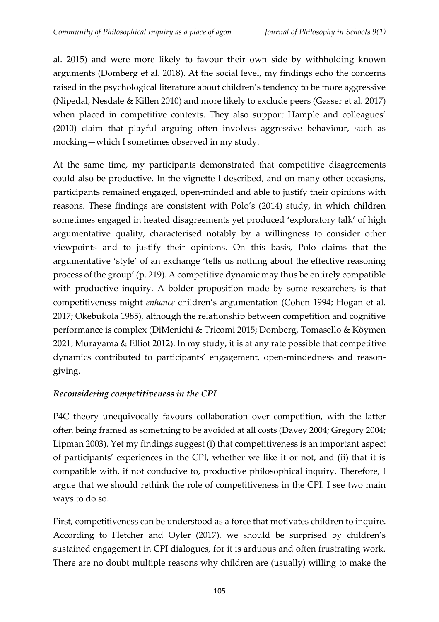al. 2015) and were more likely to favour their own side by withholding known arguments (Domberg et al. 2018). At the social level, my findings echo the concerns raised in the psychological literature about children's tendency to be more aggressive (Nipedal, Nesdale & Killen 2010) and more likely to exclude peers (Gasser et al. 2017) when placed in competitive contexts. They also support Hample and colleagues' (2010) claim that playful arguing often involves aggressive behaviour, such as mocking—which I sometimes observed in my study.

At the same time, my participants demonstrated that competitive disagreements could also be productive. In the vignette I described, and on many other occasions, participants remained engaged, open-minded and able to justify their opinions with reasons. These findings are consistent with Polo's (2014) study, in which children sometimes engaged in heated disagreements yet produced 'exploratory talk' of high argumentative quality, characterised notably by a willingness to consider other viewpoints and to justify their opinions. On this basis, Polo claims that the argumentative 'style' of an exchange 'tells us nothing about the effective reasoning process of the group' (p. 219). A competitive dynamic may thus be entirely compatible with productive inquiry. A bolder proposition made by some researchers is that competitiveness might *enhance* children's argumentation (Cohen 1994; Hogan et al. 2017; Okebukola 1985), although the relationship between competition and cognitive performance is complex (DiMenichi & Tricomi 2015; Domberg, Tomasello & Köymen 2021; Murayama & Elliot 2012). In my study, it is at any rate possible that competitive dynamics contributed to participants' engagement, open-mindedness and reasongiving.

# *Reconsidering competitiveness in the CPI*

P4C theory unequivocally favours collaboration over competition, with the latter often being framed as something to be avoided at all costs (Davey 2004; Gregory 2004; Lipman 2003). Yet my findings suggest (i) that competitiveness is an important aspect of participants' experiences in the CPI, whether we like it or not, and (ii) that it is compatible with, if not conducive to, productive philosophical inquiry. Therefore, I argue that we should rethink the role of competitiveness in the CPI. I see two main ways to do so.

First, competitiveness can be understood as a force that motivates children to inquire. According to Fletcher and Oyler (2017), we should be surprised by children's sustained engagement in CPI dialogues, for it is arduous and often frustrating work. There are no doubt multiple reasons why children are (usually) willing to make the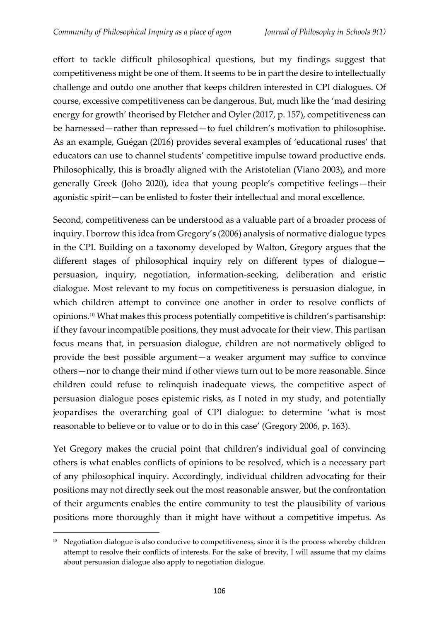effort to tackle difficult philosophical questions, but my findings suggest that competitiveness might be one of them. It seems to be in part the desire to intellectually challenge and outdo one another that keeps children interested in CPI dialogues. Of course, excessive competitiveness can be dangerous. But, much like the 'mad desiring energy for growth' theorised by Fletcher and Oyler (2017, p. 157), competitiveness can be harnessed—rather than repressed—to fuel children's motivation to philosophise. As an example, Guégan (2016) provides several examples of 'educational ruses' that educators can use to channel students' competitive impulse toward productive ends. Philosophically, this is broadly aligned with the Aristotelian (Viano 2003), and more generally Greek (Joho 2020), idea that young people's competitive feelings—their agonistic spirit—can be enlisted to foster their intellectual and moral excellence.

Second, competitiveness can be understood as a valuable part of a broader process of inquiry. I borrow this idea from Gregory's (2006) analysis of normative dialogue types in the CPI. Building on a taxonomy developed by Walton, Gregory argues that the different stages of philosophical inquiry rely on different types of dialogue persuasion, inquiry, negotiation, information-seeking, deliberation and eristic dialogue. Most relevant to my focus on competitiveness is persuasion dialogue, in which children attempt to convince one another in order to resolve conflicts of opinions.<sup>10</sup> What makes this process potentially competitive is children's partisanship: if they favour incompatible positions, they must advocate for their view. This partisan focus means that, in persuasion dialogue, children are not normatively obliged to provide the best possible argument—a weaker argument may suffice to convince others—nor to change their mind if other views turn out to be more reasonable. Since children could refuse to relinquish inadequate views, the competitive aspect of persuasion dialogue poses epistemic risks, as I noted in my study, and potentially jeopardises the overarching goal of CPI dialogue: to determine 'what is most reasonable to believe or to value or to do in this case' (Gregory 2006, p. 163).

Yet Gregory makes the crucial point that children's individual goal of convincing others is what enables conflicts of opinions to be resolved, which is a necessary part of any philosophical inquiry. Accordingly, individual children advocating for their positions may not directly seek out the most reasonable answer, but the confrontation of their arguments enables the entire community to test the plausibility of various positions more thoroughly than it might have without a competitive impetus. As

<sup>&</sup>lt;sup>10</sup> Negotiation dialogue is also conducive to competitiveness, since it is the process whereby children attempt to resolve their conflicts of interests. For the sake of brevity, I will assume that my claims about persuasion dialogue also apply to negotiation dialogue.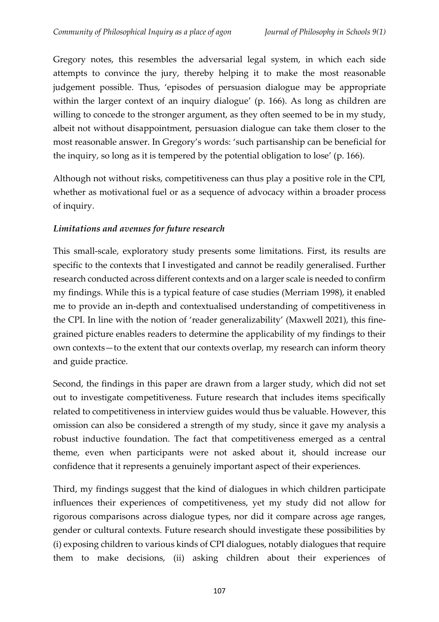Gregory notes, this resembles the adversarial legal system, in which each side attempts to convince the jury, thereby helping it to make the most reasonable judgement possible. Thus, 'episodes of persuasion dialogue may be appropriate within the larger context of an inquiry dialogue' (p. 166). As long as children are willing to concede to the stronger argument, as they often seemed to be in my study, albeit not without disappointment, persuasion dialogue can take them closer to the most reasonable answer. In Gregory's words: 'such partisanship can be beneficial for the inquiry, so long as it is tempered by the potential obligation to lose' (p. 166).

Although not without risks, competitiveness can thus play a positive role in the CPI, whether as motivational fuel or as a sequence of advocacy within a broader process of inquiry.

# *Limitations and avenues for future research*

This small-scale, exploratory study presents some limitations. First, its results are specific to the contexts that I investigated and cannot be readily generalised. Further research conducted across different contexts and on a larger scale is needed to confirm my findings. While this is a typical feature of case studies (Merriam 1998), it enabled me to provide an in-depth and contextualised understanding of competitiveness in the CPI. In line with the notion of 'reader generalizability' (Maxwell 2021), this finegrained picture enables readers to determine the applicability of my findings to their own contexts—to the extent that our contexts overlap, my research can inform theory and guide practice.

Second, the findings in this paper are drawn from a larger study, which did not set out to investigate competitiveness. Future research that includes items specifically related to competitiveness in interview guides would thus be valuable. However, this omission can also be considered a strength of my study, since it gave my analysis a robust inductive foundation. The fact that competitiveness emerged as a central theme, even when participants were not asked about it, should increase our confidence that it represents a genuinely important aspect of their experiences.

Third, my findings suggest that the kind of dialogues in which children participate influences their experiences of competitiveness, yet my study did not allow for rigorous comparisons across dialogue types, nor did it compare across age ranges, gender or cultural contexts. Future research should investigate these possibilities by (i) exposing children to various kinds of CPI dialogues, notably dialogues that require them to make decisions, (ii) asking children about their experiences of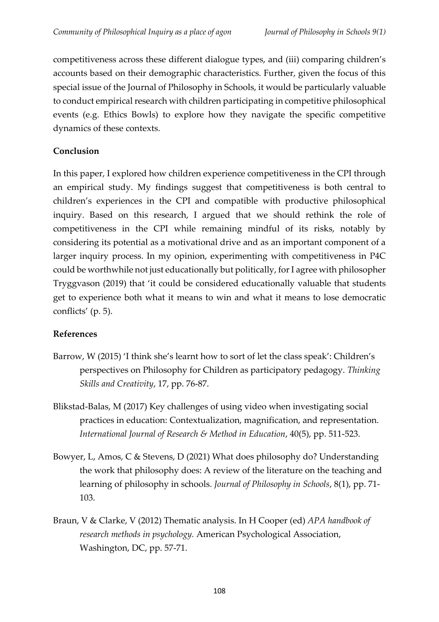competitiveness across these different dialogue types, and (iii) comparing children's accounts based on their demographic characteristics. Further, given the focus of this special issue of the Journal of Philosophy in Schools, it would be particularly valuable to conduct empirical research with children participating in competitive philosophical events (e.g. Ethics Bowls) to explore how they navigate the specific competitive dynamics of these contexts.

# **Conclusion**

In this paper, I explored how children experience competitiveness in the CPI through an empirical study. My findings suggest that competitiveness is both central to children's experiences in the CPI and compatible with productive philosophical inquiry. Based on this research, I argued that we should rethink the role of competitiveness in the CPI while remaining mindful of its risks, notably by considering its potential as a motivational drive and as an important component of a larger inquiry process. In my opinion, experimenting with competitiveness in P4C could be worthwhile not just educationally but politically, for I agree with philosopher Tryggvason (2019) that 'it could be considered educationally valuable that students get to experience both what it means to win and what it means to lose democratic conflicts' (p. 5).

## **References**

- Barrow, W (2015) 'I think she's learnt how to sort of let the class speak': Children's perspectives on Philosophy for Children as participatory pedagogy. *Thinking Skills and Creativity*, 17, pp. 76-87.
- Blikstad-Balas, M (2017) Key challenges of using video when investigating social practices in education: Contextualization, magnification, and representation. *International Journal of Research & Method in Education*, 40(5), pp. 511-523.
- Bowyer, L, Amos, C & Stevens, D (2021) What does philosophy do? Understanding the work that philosophy does: A review of the literature on the teaching and learning of philosophy in schools. *Journal of Philosophy in Schools*, 8(1), pp. 71- 103.
- Braun, V & Clarke, V (2012) Thematic analysis. In H Cooper (ed) *APA handbook of research methods in psychology.* American Psychological Association, Washington, DC, pp. 57-71.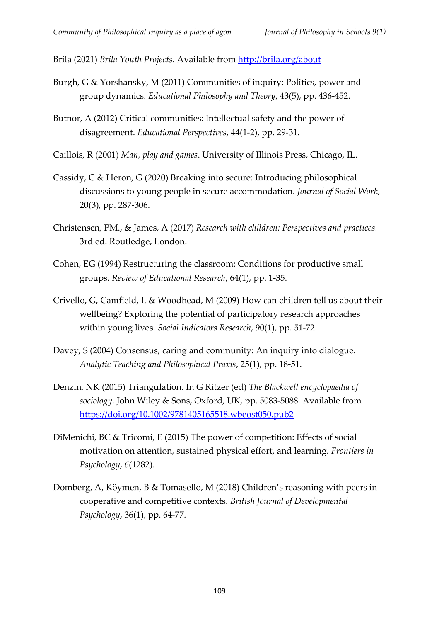Brila (2021) *Brila Youth Projects*. Available from<http://brila.org/about>

- Burgh, G & Yorshansky, M (2011) Communities of inquiry: Politics, power and group dynamics. *Educational Philosophy and Theory*, 43(5), pp. 436-452.
- Butnor, A (2012) Critical communities: Intellectual safety and the power of disagreement. *Educational Perspectives*, 44(1-2), pp. 29-31.
- Caillois, R (2001) *Man, play and games*. University of Illinois Press, Chicago, IL.
- Cassidy, C & Heron, G (2020) Breaking into secure: Introducing philosophical discussions to young people in secure accommodation. *Journal of Social Work*, 20(3), pp. 287-306.
- Christensen, PM., & James, A (2017) *Research with children: Perspectives and practices.* 3rd ed. Routledge, London.
- Cohen, EG (1994) Restructuring the classroom: Conditions for productive small groups. *Review of Educational Research*, 64(1), pp. 1-35.
- Crivello, G, Camfield, L & Woodhead, M (2009) How can children tell us about their wellbeing? Exploring the potential of participatory research approaches within young lives. *Social Indicators Research*, 90(1), pp. 51-72.
- Davey, S (2004) Consensus, caring and community: An inquiry into dialogue. *Analytic Teaching and Philosophical Praxis*, 25(1), pp. 18-51.
- Denzin, NK (2015) Triangulation. In G Ritzer (ed) *The Blackwell encyclopaedia of sociology*. John Wiley & Sons, Oxford, UK, pp. 5083-5088. Available from <https://doi.org/10.1002/9781405165518.wbeost050.pub2>
- DiMenichi, BC & Tricomi, E (2015) The power of competition: Effects of social motivation on attention, sustained physical effort, and learning. *Frontiers in Psychology*, *6*(1282).
- Domberg, A, Köymen, B & Tomasello, M (2018) Children's reasoning with peers in cooperative and competitive contexts. *British Journal of Developmental Psychology*, 36(1), pp. 64-77.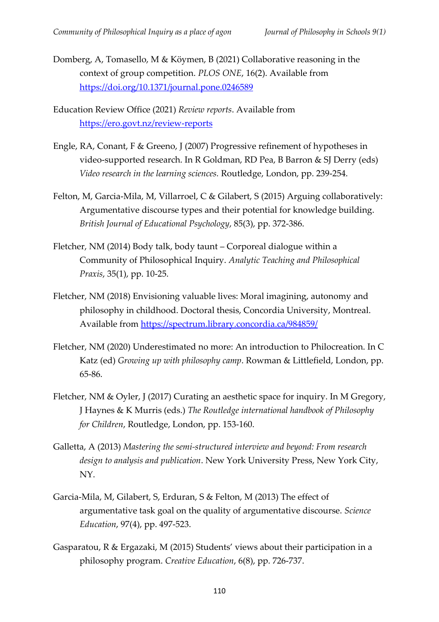Domberg, A, Tomasello, M & Köymen, B (2021) Collaborative reasoning in the context of group competition. *PLOS ONE*, 16(2). Available from <https://doi.org/10.1371/journal.pone.0246589>

Education Review Office (2021) *Review reports*. Available from <https://ero.govt.nz/review-reports>

- Engle, RA, Conant, F & Greeno, J (2007) Progressive refinement of hypotheses in video-supported research. In R Goldman, RD Pea, B Barron & SJ Derry (eds) *Video research in the learning sciences.* Routledge, London, pp. 239-254.
- Felton, M, Garcia-Mila, M, Villarroel, C & Gilabert, S (2015) Arguing collaboratively: Argumentative discourse types and their potential for knowledge building. *British Journal of Educational Psychology*, 85(3), pp. 372-386.
- Fletcher, NM (2014) Body talk, body taunt Corporeal dialogue within a Community of Philosophical Inquiry. *Analytic Teaching and Philosophical Praxis*, 35(1), pp. 10-25.
- Fletcher, NM (2018) Envisioning valuable lives: Moral imagining, autonomy and philosophy in childhood. Doctoral thesis, Concordia University, Montreal. Available from<https://spectrum.library.concordia.ca/984859/>
- Fletcher, NM (2020) Underestimated no more: An introduction to Philocreation. In C Katz (ed) *Growing up with philosophy camp*. Rowman & Littlefield, London, pp. 65-86.
- Fletcher, NM & Oyler, J (2017) Curating an aesthetic space for inquiry. In M Gregory, J Haynes & K Murris (eds.) *The Routledge international handbook of Philosophy for Children*, Routledge, London, pp. 153-160.
- Galletta, A (2013) *Mastering the semi-structured interview and beyond: From research design to analysis and publication*. New York University Press, New York City, NY.
- Garcia-Mila, M, Gilabert, S, Erduran, S & Felton, M (2013) The effect of argumentative task goal on the quality of argumentative discourse. *Science Education*, 97(4), pp. 497-523.
- Gasparatou, R & Ergazaki, M (2015) Students' views about their participation in a philosophy program. *Creative Education*, 6(8), pp. 726-737.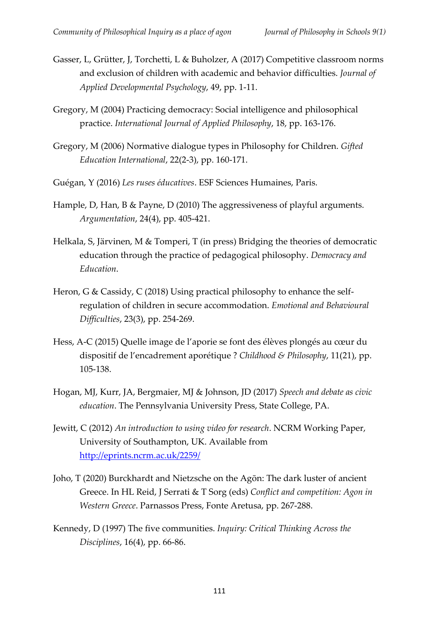- Gasser, L, Grütter, J, Torchetti, L & Buholzer, A (2017) Competitive classroom norms and exclusion of children with academic and behavior difficulties. *Journal of Applied Developmental Psychology*, 49, pp. 1-11.
- Gregory, M (2004) Practicing democracy: Social intelligence and philosophical practice. *International Journal of Applied Philosophy*, 18, pp. 163-176.
- Gregory, M (2006) Normative dialogue types in Philosophy for Children. *Gifted Education International*, 22(2-3), pp. 160-171.
- Guégan, Y (2016) *Les ruses éducatives*. ESF Sciences Humaines, Paris.
- Hample, D, Han, B & Payne, D (2010) The aggressiveness of playful arguments. *Argumentation*, 24(4), pp. 405-421.
- Helkala, S, Järvinen, M & Tomperi, T (in press) Bridging the theories of democratic education through the practice of pedagogical philosophy. *Democracy and Education*.
- Heron, G & Cassidy, C (2018) Using practical philosophy to enhance the selfregulation of children in secure accommodation. *Emotional and Behavioural Difficulties*, 23(3), pp. 254-269.
- Hess, A-C (2015) Quelle image de l'aporie se font des élèves plongés au cœur du dispositif de l'encadrement aporétique ? *Childhood & Philosophy*, 11(21), pp. 105-138.
- Hogan, MJ, Kurr, JA, Bergmaier, MJ & Johnson, JD (2017) *Speech and debate as civic education*. The Pennsylvania University Press, State College, PA.
- Jewitt, C (2012) *An introduction to using video for research*. NCRM Working Paper, University of Southampton, UK. Available from <http://eprints.ncrm.ac.uk/2259/>
- Joho, T (2020) Burckhardt and Nietzsche on the Agōn: The dark luster of ancient Greece. In HL Reid, J Serrati & T Sorg (eds) *Conflict and competition: Agon in Western Greece*. Parnassos Press, Fonte Aretusa, pp. 267-288.
- Kennedy, D (1997) The five communities. *Inquiry: Critical Thinking Across the Disciplines*, 16(4), pp. 66-86.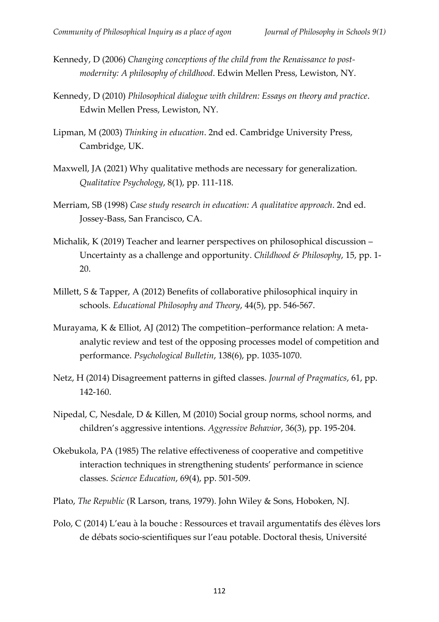- Kennedy, D (2006) *Changing conceptions of the child from the Renaissance to postmodernity: A philosophy of childhood*. Edwin Mellen Press, Lewiston, NY.
- Kennedy, D (2010) *Philosophical dialogue with children: Essays on theory and practice*. Edwin Mellen Press, Lewiston, NY.
- Lipman, M (2003) *Thinking in education*. 2nd ed. Cambridge University Press, Cambridge, UK.
- Maxwell, JA (2021) Why qualitative methods are necessary for generalization. *Qualitative Psychology*, 8(1), pp. 111-118.
- Merriam, SB (1998) *Case study research in education: A qualitative approach*. 2nd ed. Jossey-Bass, San Francisco, CA.
- Michalik, K (2019) Teacher and learner perspectives on philosophical discussion Uncertainty as a challenge and opportunity. *Childhood & Philosophy*, 15, pp. 1- 20.
- Millett, S & Tapper, A (2012) Benefits of collaborative philosophical inquiry in schools. *Educational Philosophy and Theory*, 44(5), pp. 546-567.
- Murayama, K & Elliot, AJ (2012) The competition–performance relation: A metaanalytic review and test of the opposing processes model of competition and performance. *Psychological Bulletin*, 138(6), pp. 1035-1070.
- Netz, H (2014) Disagreement patterns in gifted classes. *Journal of Pragmatics*, 61, pp. 142-160.
- Nipedal, C, Nesdale, D & Killen, M (2010) Social group norms, school norms, and children's aggressive intentions. *Aggressive Behavior*, 36(3), pp. 195-204.
- Okebukola, PA (1985) The relative effectiveness of cooperative and competitive interaction techniques in strengthening students' performance in science classes. *Science Education*, 69(4), pp. 501-509.
- Plato, *The Republic* (R Larson, trans, 1979). John Wiley & Sons, Hoboken, NJ.
- Polo, C (2014) L'eau à la bouche : Ressources et travail argumentatifs des élèves lors de débats socio-scientifiques sur l'eau potable. Doctoral thesis, Université